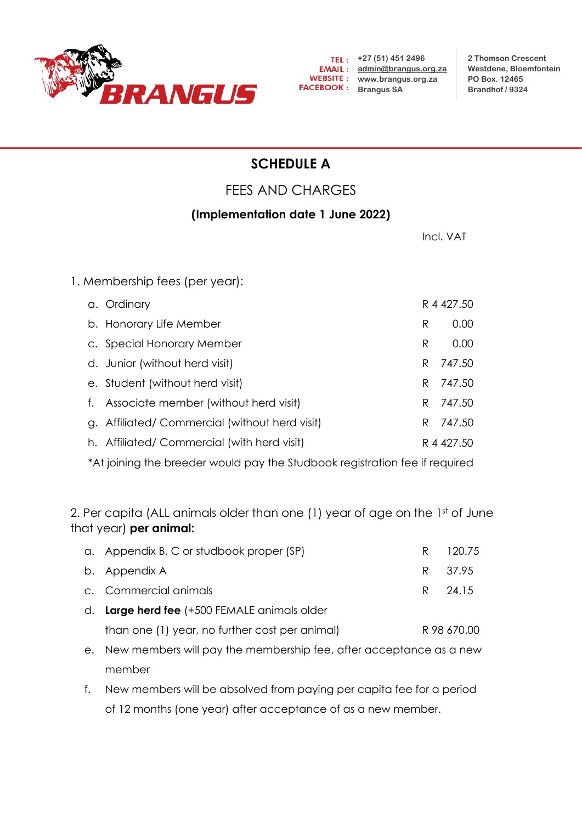

**2 Thomson Crescent Westdene, Bloemfontein PO Box. 12465 Brandhof / 9324**

## **SCHEDULE A**

## FEES AND CHARGES

## **(Implementation date 1 June 2022)**

| Incl. VAT  |        |
|------------|--------|
|            |        |
|            |        |
| R 4 427.50 |        |
| R          | 0.00   |
| R          | 0.00   |
| R          | 747.50 |
| R.         | 747.50 |
| R          | 747.50 |
| R.         | 747.50 |
| R 4 427.50 |        |
|            |        |

\*At joining the breeder would pay the Studbook registration fee if required

2. Per capita (ALL animals older than one (1) year of age on the 1st of June that year) **per animal:**

| d. Large herd fee (+500 FEMALE animals older |          |
|----------------------------------------------|----------|
| c. Commercial animals                        | R 24.15  |
| b. Appendix A                                | R 37.95  |
| a. Appendix B, C or studbook proper (SP)     | R 120.75 |

- than one (1) year, no further cost per animal) R 98 670.00
- e. New members will pay the membership fee, after acceptance as a new member
- f. New members will be absolved from paying per capita fee for a period of 12 months (one year) after acceptance of as a new member.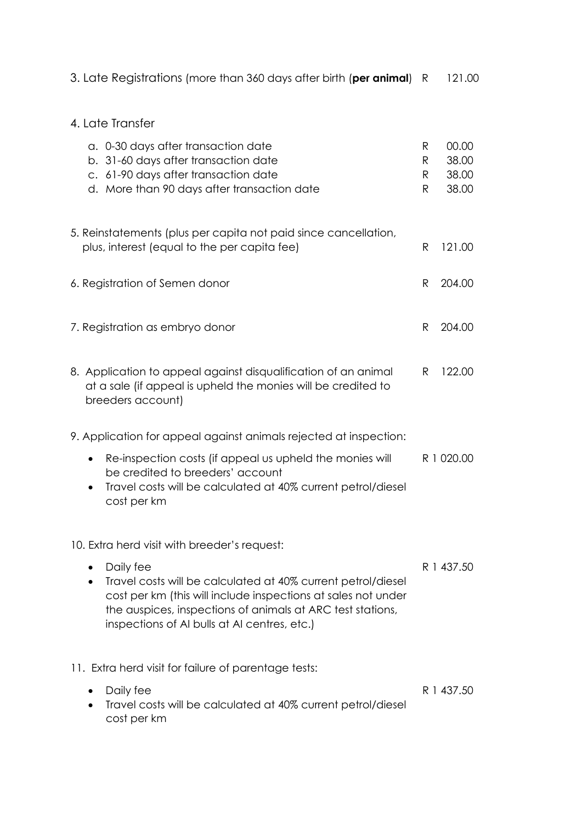| 3. Late Registrations (more than 360 days after birth ( <b>per animal</b> ) R | 121.00 |
|-------------------------------------------------------------------------------|--------|
|-------------------------------------------------------------------------------|--------|

## 4. Late Transfer

| a. 0-30 days after transaction date<br>b. 31-60 days after transaction date<br>c. 61-90 days after transaction date<br>d. More than 90 days after transaction date                                                                                       | R<br>R<br>R<br>R | 00.00<br>38.00<br>38.00<br>38.00 |
|----------------------------------------------------------------------------------------------------------------------------------------------------------------------------------------------------------------------------------------------------------|------------------|----------------------------------|
| 5. Reinstatements (plus per capita not paid since cancellation,<br>plus, interest (equal to the per capita fee)                                                                                                                                          | R                | 121.00                           |
| 6. Registration of Semen donor                                                                                                                                                                                                                           | R                | 204.00                           |
| 7. Registration as embryo donor                                                                                                                                                                                                                          | R                | 204.00                           |
| 8. Application to appeal against disqualification of an animal<br>at a sale (if appeal is upheld the monies will be credited to<br>breeders account)                                                                                                     | R.               | 122.00                           |
| 9. Application for appeal against animals rejected at inspection:                                                                                                                                                                                        |                  |                                  |
| Re-inspection costs (if appeal us upheld the monies will<br>٠<br>be credited to breeders' account<br>Travel costs will be calculated at 40% current petrol/diesel<br>cost per km                                                                         |                  | R 1 020.00                       |
| 10. Extra herd visit with breeder's request:                                                                                                                                                                                                             |                  |                                  |
| Daily fee<br>Travel costs will be calculated at 40% current petrol/diesel<br>cost per km (this will include inspections at sales not under<br>the auspices, inspections of animals at ARC test stations,<br>inspections of AI bulls at AI centres, etc.) | R 1 437.50       |                                  |
| 11. Extra herd visit for failure of parentage tests:                                                                                                                                                                                                     |                  |                                  |
| Daily fee<br>Travel costs will be calculated at 40% current petrol/diesel<br>cost per km                                                                                                                                                                 |                  | R 1 437.50                       |